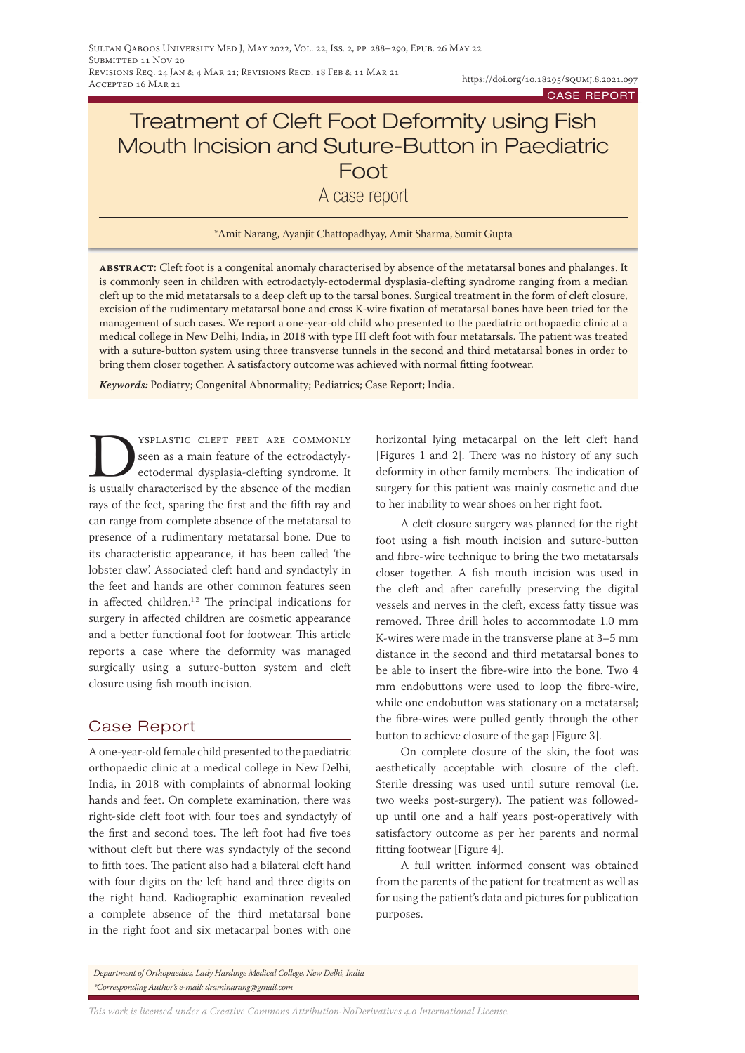# Treatment of Cleft Foot Deformity using Fish Mouth Incision and Suture-Button in Paediatric Foot A case report

#### \*Amit Narang, Ayanjit Chattopadhyay, Amit Sharma, Sumit Gupta

**abstract:** Cleft foot is a congenital anomaly characterised by absence of the metatarsal bones and phalanges. It is commonly seen in children with ectrodactyly-ectodermal dysplasia-clefting syndrome ranging from a median cleft up to the mid metatarsals to a deep cleft up to the tarsal bones. Surgical treatment in the form of cleft closure, excision of the rudimentary metatarsal bone and cross K-wire fixation of metatarsal bones have been tried for the management of such cases. We report a one-year-old child who presented to the paediatric orthopaedic clinic at a medical college in New Delhi, India, in 2018 with type III cleft foot with four metatarsals. The patient was treated with a suture-button system using three transverse tunnels in the second and third metatarsal bones in order to bring them closer together. A satisfactory outcome was achieved with normal fitting footwear.

*Keywords:* Podiatry; Congenital Abnormality; Pediatrics; Case Report; India.

YSPLASTIC CLEFT FEET ARE COMMONLY seen as a main feature of the ectrodactylyectodermal dysplasia-clefting syndrome. It is usually characterised by the absence of the median rays of the feet, sparing the first and the fifth ray and can range from complete absence of the metatarsal to presence of a rudimentary metatarsal bone. Due to its characteristic appearance, it has been called 'the lobster claw'. Associated cleft hand and syndactyly in the feet and hands are other common features seen in affected children.1,2 The principal indications for surgery in affected children are cosmetic appearance and a better functional foot for footwear. This article reports a case where the deformity was managed surgically using a suture-button system and cleft closure using fish mouth incision.

### Case Report

A one-year-old female child presented to the paediatric orthopaedic clinic at a medical college in New Delhi, India, in 2018 with complaints of abnormal looking hands and feet. On complete examination, there was right-side cleft foot with four toes and syndactyly of the first and second toes. The left foot had five toes without cleft but there was syndactyly of the second to fifth toes. The patient also had a bilateral cleft hand with four digits on the left hand and three digits on the right hand. Radiographic examination revealed a complete absence of the third metatarsal bone in the right foot and six metacarpal bones with one

horizontal lying metacarpal on the left cleft hand [Figures 1 and 2]. There was no history of any such deformity in other family members. The indication of surgery for this patient was mainly cosmetic and due to her inability to wear shoes on her right foot.

A cleft closure surgery was planned for the right foot using a fish mouth incision and suture-button and fibre-wire technique to bring the two metatarsals closer together. A fish mouth incision was used in the cleft and after carefully preserving the digital vessels and nerves in the cleft, excess fatty tissue was removed. Three drill holes to accommodate 1.0 mm K-wires were made in the transverse plane at 3–5 mm distance in the second and third metatarsal bones to be able to insert the fibre-wire into the bone. Two 4 mm endobuttons were used to loop the fibre-wire, while one endobutton was stationary on a metatarsal; the fibre-wires were pulled gently through the other button to achieve closure of the gap [Figure 3].

On complete closure of the skin, the foot was aesthetically acceptable with closure of the cleft. Sterile dressing was used until suture removal (i.e. two weeks post-surgery). The patient was followedup until one and a half years post-operatively with satisfactory outcome as per her parents and normal fitting footwear [Figure 4].

A full written informed consent was obtained from the parents of the patient for treatment as well as for using the patient's data and pictures for publication purposes.

*Department of Orthopaedics, Lady Hardinge Medical College, New Delhi, India \*Corresponding Author's e-mail: draminarang@gmail.com*

*This work is licensed under a [Creative Commons Attribution-NoDerivatives 4.0 International License](https://creativecommons.org/licenses/by-nd/4.0/).*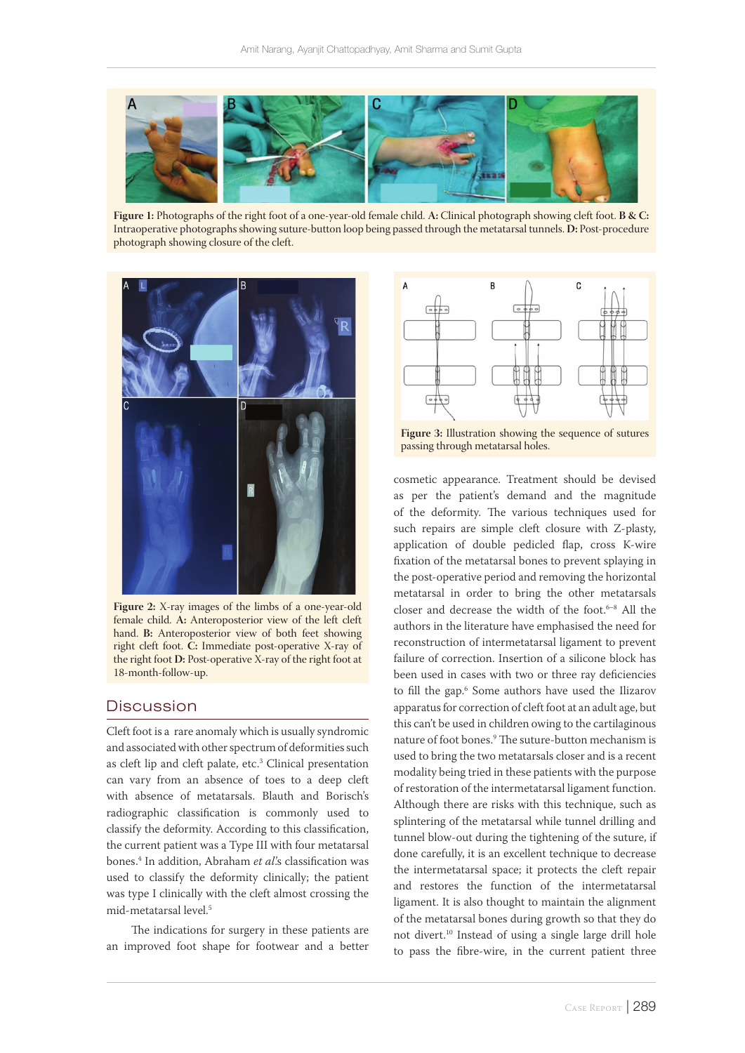

**Figure 1:** Photographs of the right foot of a one-year-old female child. **A:** Clinical photograph showing cleft foot. **B & C:**  Intraoperative photographs showing suture-button loop being passed through the metatarsal tunnels. **D:** Post-procedure photograph showing closure of the cleft.



**Figure 2:** X-ray images of the limbs of a one-year-old female child. **A:** Anteroposterior view of the left cleft hand. **B:** Anteroposterior view of both feet showing right cleft foot. **C:** Immediate post-operative X-ray of the right foot **D:** Post-operative X-ray of the right foot at 18-month-follow-up.

#### **Discussion**

Cleft foot is a rare anomaly which is usually syndromic and associated with other spectrum of deformities such as cleft lip and cleft palate, etc.<sup>3</sup> Clinical presentation can vary from an absence of toes to a deep cleft with absence of metatarsals. Blauth and Borisch's radiographic classification is commonly used to classify the deformity. According to this classification, the current patient was a Type III with four metatarsal bones.4 In addition, Abraham *et al*.'s classification was used to classify the deformity clinically; the patient was type I clinically with the cleft almost crossing the mid-metatarsal level.5

The indications for surgery in these patients are an improved foot shape for footwear and a better



**Figure 3:** Illustration showing the sequence of sutures passing through metatarsal holes.

cosmetic appearance. Treatment should be devised as per the patient's demand and the magnitude of the deformity. The various techniques used for such repairs are simple cleft closure with Z-plasty, application of double pedicled flap, cross K-wire fixation of the metatarsal bones to prevent splaying in the post-operative period and removing the horizontal metatarsal in order to bring the other metatarsals closer and decrease the width of the foot.<sup>6-8</sup> All the authors in the literature have emphasised the need for reconstruction of intermetatarsal ligament to prevent failure of correction. Insertion of a silicone block has been used in cases with two or three ray deficiencies to fill the gap.6 Some authors have used the Ilizarov apparatus for correction of cleft foot at an adult age, but this can't be used in children owing to the cartilaginous nature of foot bones.9 The suture-button mechanism is used to bring the two metatarsals closer and is a recent modality being tried in these patients with the purpose of restoration of the intermetatarsal ligament function. Although there are risks with this technique, such as splintering of the metatarsal while tunnel drilling and tunnel blow-out during the tightening of the suture, if done carefully, it is an excellent technique to decrease the intermetatarsal space; it protects the cleft repair and restores the function of the intermetatarsal ligament. It is also thought to maintain the alignment of the metatarsal bones during growth so that they do not divert.10 Instead of using a single large drill hole to pass the fibre-wire, in the current patient three